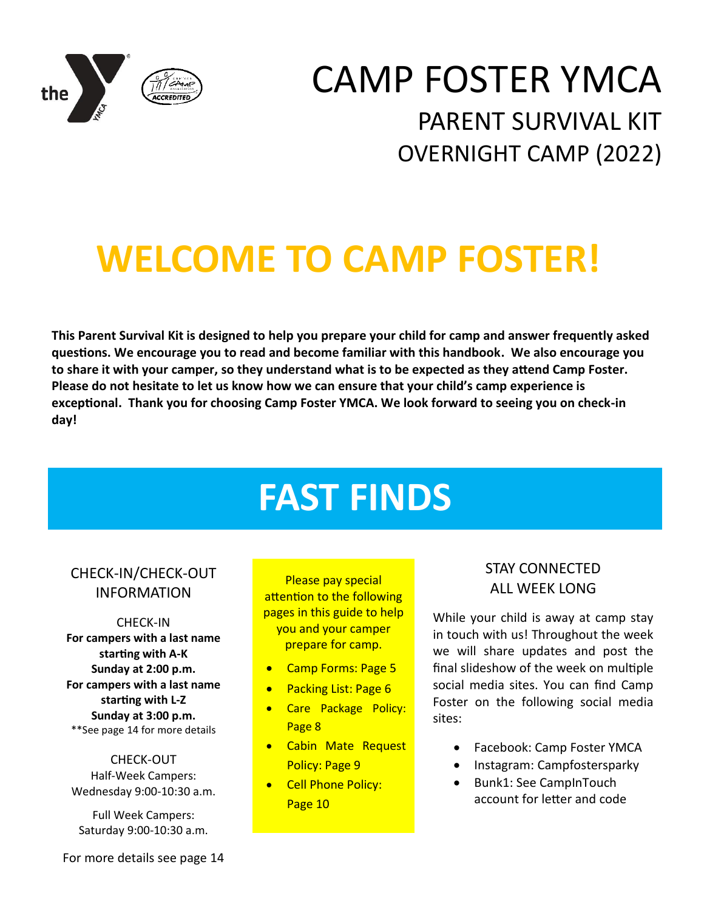

# CAMP FOSTER YMCA PARENT SURVIVAL KIT OVERNIGHT CAMP (2022)

# **WELCOME TO CAMP FOSTER!**

**This Parent Survival Kit is designed to help you prepare your child for camp and answer frequently asked questions. We encourage you to read and become familiar with this handbook. We also encourage you to share it with your camper, so they understand what is to be expected as they attend Camp Foster. Please do not hesitate to let us know how we can ensure that your child's camp experience is exceptional. Thank you for choosing Camp Foster YMCA. We look forward to seeing you on check-in day!**

# **FAST FINDS**

### CHECK-IN/CHECK-OUT INFORMATION

CHECK-IN **For campers with a last name starting with A-K Sunday at 2:00 p.m. For campers with a last name starting with L-Z Sunday at 3:00 p.m.** \*\*See page 14 for more details

CHECK-OUT Half-Week Campers: Wednesday 9:00-10:30 a.m.

Full Week Campers: Saturday 9:00-10:30 a.m.

Please pay special attention to the following pages in this guide to help you and your camper prepare for camp.

- Camp Forms: Page 5
- Packing List: Page 6
- Care Package Policy: Page 8
- Cabin Mate Request Policy: Page 9
- Cell Phone Policy: Page 10

### STAY CONNECTED ALL WEEK LONG

While your child is away at camp stay in touch with us! Throughout the week we will share updates and post the final slideshow of the week on multiple social media sites. You can find Camp Foster on the following social media sites:

- Facebook: Camp Foster YMCA
- Instagram: Campfostersparky
- Bunk1: See CampInTouch account for letter and code

For more details see page 14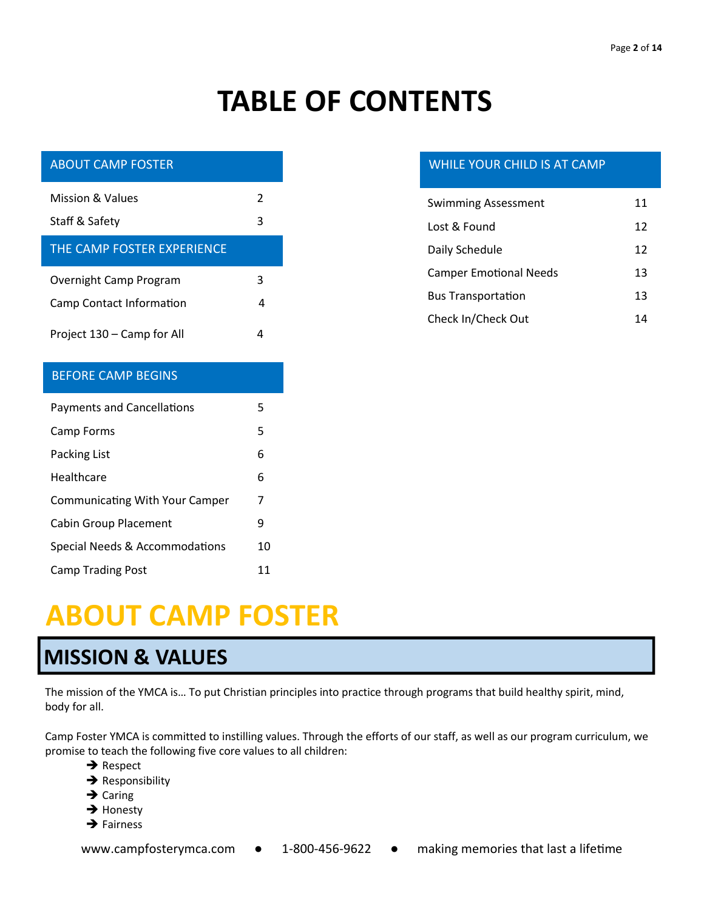# **TABLE OF CONTENTS**

| <b>ABOUT CAMP FOSTER</b>              |    |
|---------------------------------------|----|
| <b>Mission &amp; Values</b>           | 2  |
| Staff & Safety                        | 3  |
| THE CAMP FOSTER EXPERIENCE            |    |
| Overnight Camp Program                | 3  |
| Camp Contact Information              | 4  |
| Project 130 - Camp for All            | 4  |
|                                       |    |
| <b>BEFORE CAMP BEGINS</b>             |    |
| <b>Payments and Cancellations</b>     | 5  |
| Camp Forms                            | 5  |
| Packing List                          | 6  |
| Healthcare                            | 6  |
| <b>Communicating With Your Camper</b> | 7  |
| <b>Cabin Group Placement</b>          | ٩  |
| Special Needs & Accommodations        | 10 |

### WHILE YOUR CHILD IS AT CAMP

| <b>Swimming Assessment</b>    | 11 |
|-------------------------------|----|
| Lost & Found                  | 12 |
| Daily Schedule                | 12 |
| <b>Camper Emotional Needs</b> | 13 |
| <b>Bus Transportation</b>     | 13 |
| Check In/Check Out            | 14 |

# **ABOUT CAMP FOSTER**

## **MISSION & VALUES**

The mission of the YMCA is… To put Christian principles into practice through programs that build healthy spirit, mind, body for all.

Camp Foster YMCA is committed to instilling values. Through the efforts of our staff, as well as our program curriculum, we promise to teach the following five core values to all children:

- **→** Respect
- **→** Responsibility
- **→** Caring
- **→** Honesty
- **→** Fairness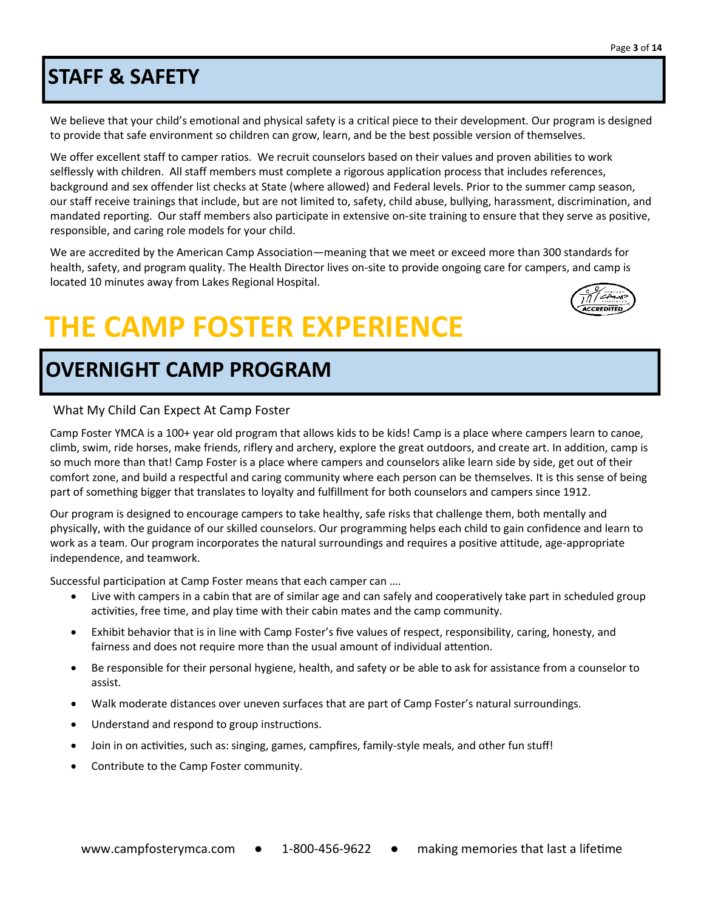## **STAFF & SAFETY**

We believe that your child's emotional and physical safety is a critical piece to their development. Our program is designed to provide that safe environment so children can grow, learn, and be the best possible version of themselves.

We offer excellent staff to camper ratios. We recruit counselors based on their values and proven abilities to work selflessly with children. All staff members must complete a rigorous application process that includes references, background and sex offender list checks at State (where allowed) and Federal levels. Prior to the summer camp season, our staff receive trainings that include, but are not limited to, safety, child abuse, bullying, harassment, discrimination, and mandated reporting. Our staff members also participate in extensive on-site training to ensure that they serve as positive, responsible, and caring role models for your child.

We are accredited by the American Camp Association—meaning that we meet or exceed more than 300 standards for health, safety, and program quality. The Health Director lives on-site to provide ongoing care for campers, and camp is located 10 minutes away from Lakes Regional Hospital.

# **THE CAMP FOSTER EXPERIENCE**

# **OVERNIGHT CAMP PROGRAM**

#### What My Child Can Expect At Camp Foster

Camp Foster YMCA is a 100+ year old program that allows kids to be kids! Camp is a place where campers learn to canoe, climb, swim, ride horses, make friends, riflery and archery, explore the great outdoors, and create art. In addition, camp is so much more than that! Camp Foster is a place where campers and counselors alike learn side by side, get out of their comfort zone, and build a respectful and caring community where each person can be themselves. It is this sense of being part of something bigger that translates to loyalty and fulfillment for both counselors and campers since 1912.

Our program is designed to encourage campers to take healthy, safe risks that challenge them, both mentally and physically, with the guidance of our skilled counselors. Our programming helps each child to gain confidence and learn to work as a team. Our program incorporates the natural surroundings and requires a positive attitude, age-appropriate independence, and teamwork.

Successful participation at Camp Foster means that each camper can ….

- Live with campers in a cabin that are of similar age and can safely and cooperatively take part in scheduled group activities, free time, and play time with their cabin mates and the camp community.
- Exhibit behavior that is in line with Camp Foster's five values of respect, responsibility, caring, honesty, and fairness and does not require more than the usual amount of individual attention.
- Be responsible for their personal hygiene, health, and safety or be able to ask for assistance from a counselor to assist.
- Walk moderate distances over uneven surfaces that are part of Camp Foster's natural surroundings.
- Understand and respond to group instructions.
- Join in on activities, such as: singing, games, campfires, family-style meals, and other fun stuff!
- Contribute to the Camp Foster community.

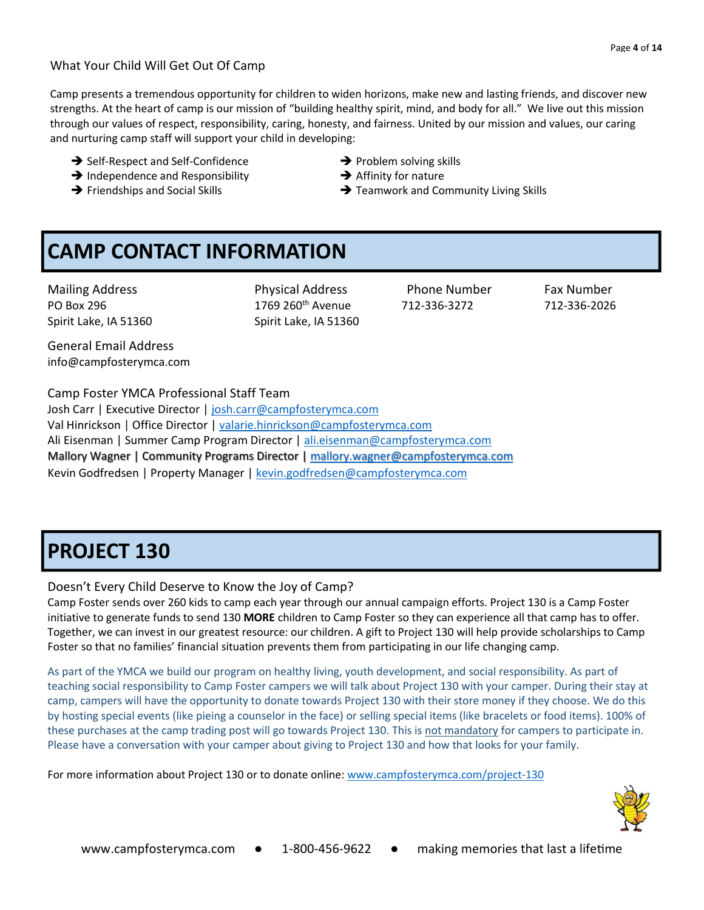#### What Your Child Will Get Out Of Camp

Camp presents a tremendous opportunity for children to widen horizons, make new and lasting friends, and discover new strengths. At the heart of camp is our mission of "building healthy spirit, mind, and body for all." We live out this mission through our values of respect, responsibility, caring, honesty, and fairness. United by our mission and values, our caring and nurturing camp staff will support your child in developing:

- ➔ Self-Respect and Self-Confidence ➔ Problem solving skills
- ➔ Independence and Responsibility ➔ Affinity for nature
- 
- 
- 
- → Friendships and Social Skills **→** Teamwork and Community Living Skills

# **CAMP CONTACT INFORMATION**

Mailing Address **Physical Address** Phone Number Fax Number

PO Box 296 1769 260th Avenue 712-336-3272 712-336-2026 Spirit Lake, IA 51360 Spirit Lake, IA 51360

General Email Address info@campfosterymca.com

Camp Foster YMCA Professional Staff Team Josh Carr | Executive Director | [josh.carr@campfosterymca.com](mailto:josh.carr@campfosterymca.com) Val Hinrickson | Office Director [| valarie.hinrickson@campfosterymca.com](mailto:valarie.hinrickson@campfosterymca.com) Ali Eisenman | Summer Camp Program Director [| ali.eisenman@campfosterymca.com](mailto:ali.eisenman@campfosterymca.com) Mallory Wagner | Community Programs Director | [mallory.wagner@campfosterymca.com](mailto:mallory.wagner@campfosterymca.com) Kevin Godfredsen | Property Manager [| kevin.godfredsen@campfosterymca.com](mailto:kevin.godfredsen@campfosterymca.com)

## **PROJECT 130**

#### Doesn't Every Child Deserve to Know the Joy of Camp?

Camp Foster sends over 260 kids to camp each year through our annual campaign efforts. Project 130 is a Camp Foster initiative to generate funds to send 130 **MORE** children to Camp Foster so they can experience all that camp has to offer. Together, we can invest in our greatest resource: our children. A gift to Project 130 will help provide scholarships to Camp Foster so that no families' financial situation prevents them from participating in our life changing camp.

As part of the YMCA we build our program on healthy living, youth development, and social responsibility. As part of teaching social responsibility to Camp Foster campers we will talk about Project 130 with your camper. During their stay at camp, campers will have the opportunity to donate towards Project 130 with their store money if they choose. We do this by hosting special events (like pieing a counselor in the face) or selling special items (like bracelets or food items). 100% of these purchases at the camp trading post will go towards Project 130. This is not mandatory for campers to participate in. Please have a conversation with your camper about giving to Project 130 and how that looks for your family.

For more information about Project 130 or to donate online: [www.campfosterymca.com/project](http://www.campfosterymca.com/project-130)-130

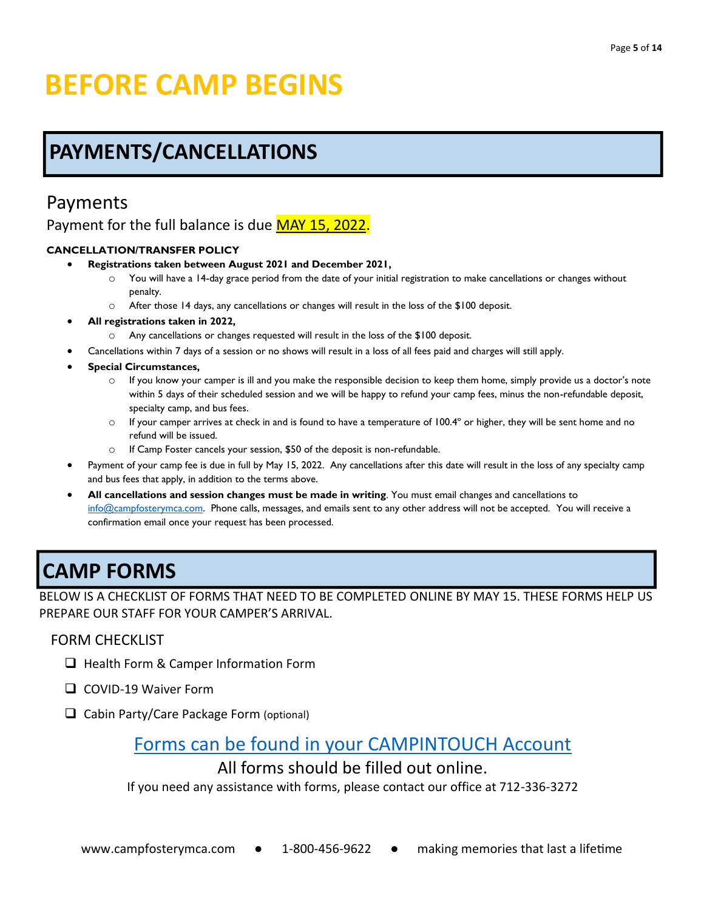# **BEFORE CAMP BEGINS**

# **PAYMENTS/CANCELLATIONS**

### Payments

Payment for the full balance is due MAY 15, 2022.

#### **CANCELLATION/TRANSFER POLICY**

- **Registrations taken between August 2021 and December 2021,**
	- You will have a 14-day grace period from the date of your initial registration to make cancellations or changes without penalty.
	- o After those 14 days, any cancellations or changes will result in the loss of the \$100 deposit.
- **All registrations taken in 2022,** 
	- o Any cancellations or changes requested will result in the loss of the \$100 deposit.
- Cancellations within 7 days of a session or no shows will result in a loss of all fees paid and charges will still apply.
- **Special Circumstances,**
	- $\circ$  If you know your camper is ill and you make the responsible decision to keep them home, simply provide us a doctor's note within 5 days of their scheduled session and we will be happy to refund your camp fees, minus the non-refundable deposit, specialty camp, and bus fees.
	- $\circ$  If your camper arrives at check in and is found to have a temperature of 100.4 $\degree$  or higher, they will be sent home and no refund will be issued.
	- o If Camp Foster cancels your session, \$50 of the deposit is non-refundable.
- Payment of your camp fee is due in full by May 15, 2022. Any cancellations after this date will result in the loss of any specialty camp and bus fees that apply, in addition to the terms above.
- **All cancellations and session changes must be made in writing**. You must email changes and cancellations to [info@campfosterymca.com.](mailto:info@campfosterymca.com) Phone calls, messages, and emails sent to any other address will not be accepted. You will receive a confirmation email once your request has been processed.

# **CAMP FORMS**

BELOW IS A CHECKLIST OF FORMS THAT NEED TO BE COMPLETED ONLINE BY MAY 15. THESE FORMS HELP US PREPARE OUR STAFF FOR YOUR CAMPER'S ARRIVAL.

### FORM CHECKLIST

- ❑ Health Form & Camper Information Form
- ❑ COVID-19 Waiver Form
- ❑ Cabin Party/Care Package Form (optional)

### Forms can be found in [your CAMPINTOUCH Account](https://campfosterymca.campintouch.com/v2/login.aspx)

### All forms should be filled out online.

If you need any assistance with forms, please contact our office at 712-336-3272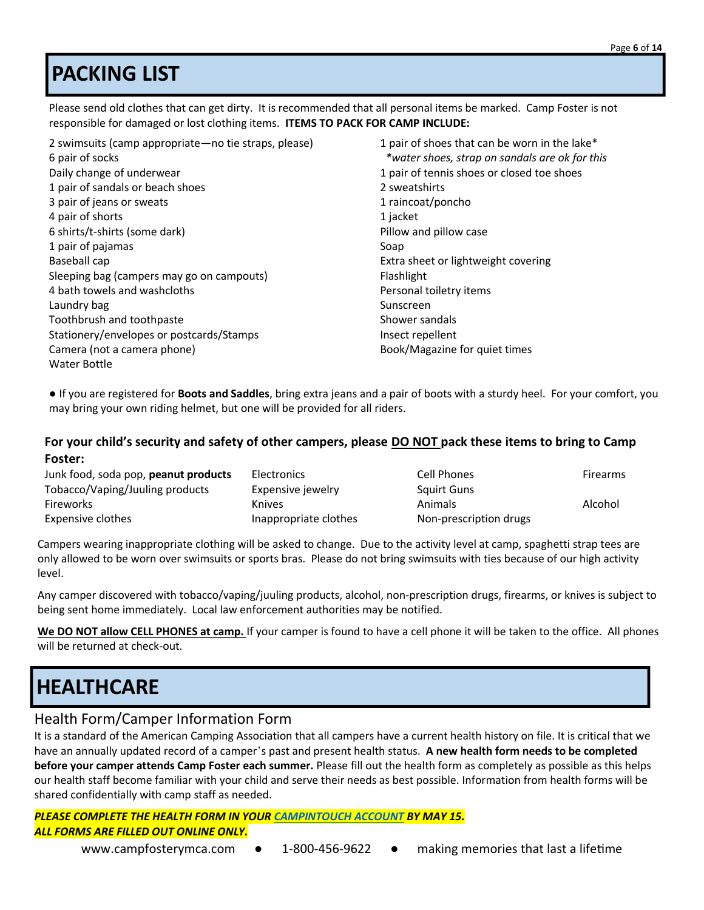# **PACKING LIST**

Please send old clothes that can get dirty. It is recommended that all personal items be marked. Camp Foster is not responsible for damaged or lost clothing items. **ITEMS TO PACK FOR CAMP INCLUDE:**

2 swimsuits (camp appropriate—no tie straps, please) 1 pair of shoes that can be worn in the lake\* 6 pair of socks *\*water shoes, strap on sandals are ok for this*  Daily change of underwear 1 pair of tennis shoes or closed toe shoes or closed toe shoes 1 pair of sandals or beach shoes 2 sweatshirts 3 pair of jeans or sweats 1 raincoat/poncho 4 pair of shorts 1 jacket 1 jacket 1 jacket 1 jacket 1 jacket 1 jacket 1 jacket 1 jacket 1 jacket 1 jacket 1 jacket 1 jacket 1 jacket 1 jacket 1 jacket 1 jacket 1 jacket 1 jacket 1 jacket 1 jacket 1 jacket 1 jacket 1 jacke 6 shirts/t-shirts (some dark) Pillow and pillow case 1 pair of pajamas Soap Baseball cap Extra sheet or lightweight covering Sleeping bag (campers may go on campouts) Flashlight 4 bath towels and washcloths Personal toiletry items Laundry bag National Sunscreen Sunscreen Sunscreen Sunscreen Sunscreen Sunscreen Sunscreen Sunscreen Sunscreen Toothbrush and toothpaste Shower sandals Stationery/envelopes or postcards/Stamps Insect repellent Camera (not a camera phone) and the camera camera phone of the camera camera camera Book/Magazine for quiet times Water Bottle

● If you are registered for **Boots and Saddles**, bring extra jeans and a pair of boots with a sturdy heel. For your comfort, you may bring your own riding helmet, but one will be provided for all riders.

#### **For your child's security and safety of other campers, please DO NOT pack these items to bring to Camp Foster:**

| Junk food, soda pop, peanut products | <b>Electronics</b>    | Cell Phones            | <b>Firearms</b> |
|--------------------------------------|-----------------------|------------------------|-----------------|
| Tobacco/Vaping/Juuling products      | Expensive jewelry     | <b>Squirt Guns</b>     |                 |
| <b>Fireworks</b>                     | <b>Knives</b>         | Animals                | Alcohol         |
| Expensive clothes                    | Inappropriate clothes | Non-prescription drugs |                 |

Campers wearing inappropriate clothing will be asked to change. Due to the activity level at camp, spaghetti strap tees are only allowed to be worn over swimsuits or sports bras. Please do not bring swimsuits with ties because of our high activity level.

Any camper discovered with tobacco/vaping/juuling products, alcohol, non-prescription drugs, firearms, or knives is subject to being sent home immediately. Local law enforcement authorities may be notified.

**We DO NOT allow CELL PHONES at camp.** If your camper is found to have a cell phone it will be taken to the office. All phones will be returned at check-out.

# **HEALTHCARE**

### Health Form/Camper Information Form

It is a standard of the American Camping Association that all campers have a current health history on file. It is critical that we have an annually updated record of a camper's past and present health status. **A new health form needs to be completed before your camper attends Camp Foster each summer.** Please fill out the health form as completely as possible as this helps our health staff become familiar with your child and serve their needs as best possible. Information from health forms will be shared confidentially with camp staff as needed.

*PLEASE COMPLETE THE HEALTH FORM IN YOUR [CAMPINTOUCH ACCOUNT](https://campfosterymca.campintouch.com/v2/login/login.aspx) BY MAY 15. ALL FORMS ARE FILLED OUT ONLINE ONLY.*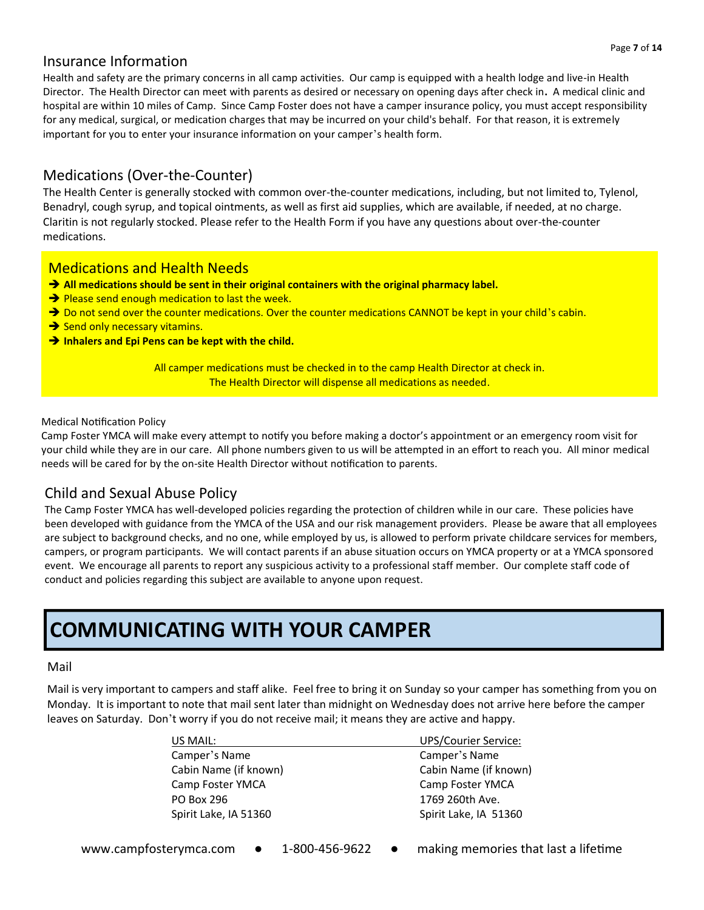### Insurance Information

Health and safety are the primary concerns in all camp activities. Our camp is equipped with a health lodge and live-in Health Director. The Health Director can meet with parents as desired or necessary on opening days after check in**.** A medical clinic and hospital are within 10 miles of Camp. Since Camp Foster does not have a camper insurance policy, you must accept responsibility for any medical, surgical, or medication charges that may be incurred on your child's behalf. For that reason, it is extremely important for you to enter your insurance information on your camper's health form.

### Medications (Over-the-Counter)

The Health Center is generally stocked with common over-the-counter medications, including, but not limited to, Tylenol, Benadryl, cough syrup, and topical ointments, as well as first aid supplies, which are available, if needed, at no charge. Claritin is not regularly stocked. Please refer to the Health Form if you have any questions about over-the-counter medications.

### Medications and Health Needs

- ➔ **All medications should be sent in their original containers with the original pharmacy label.**
- **→** Please send enough medication to last the week.
- → Do not send over the counter medications. Over the counter medications CANNOT be kept in your child's cabin.
- **→** Send only necessary vitamins.
- ➔ **Inhalers and Epi Pens can be kept with the child.**

All camper medications must be checked in to the camp Health Director at check in. The Health Director will dispense all medications as needed.

#### Medical Notification Policy

Camp Foster YMCA will make every attempt to notify you before making a doctor's appointment or an emergency room visit for your child while they are in our care. All phone numbers given to us will be attempted in an effort to reach you. All minor medical needs will be cared for by the on-site Health Director without notification to parents.

#### Child and Sexual Abuse Policy

The Camp Foster YMCA has well-developed policies regarding the protection of children while in our care. These policies have been developed with guidance from the YMCA of the USA and our risk management providers. Please be aware that all employees are subject to background checks, and no one, while employed by us, is allowed to perform private childcare services for members, campers, or program participants. We will contact parents if an abuse situation occurs on YMCA property or at a YMCA sponsored event. We encourage all parents to report any suspicious activity to a professional staff member. Our complete staff code of conduct and policies regarding this subject are available to anyone upon request.

## **COMMUNICATING WITH YOUR CAMPER**

#### Mail

Mail is very important to campers and staff alike. Feel free to bring it on Sunday so your camper has something from you on Monday. It is important to note that mail sent later than midnight on Wednesday does not arrive here before the camper leaves on Saturday. Don't worry if you do not receive mail; it means they are active and happy.

| US MAIL:              | <b>UPS/Courier Service:</b> |
|-----------------------|-----------------------------|
| Camper's Name         | Camper's Name               |
| Cabin Name (if known) | Cabin Name (if known)       |
| Camp Foster YMCA      | Camp Foster YMCA            |
| PO Box 296            | 1769 260th Ave.             |
| Spirit Lake, IA 51360 | Spirit Lake, IA 51360       |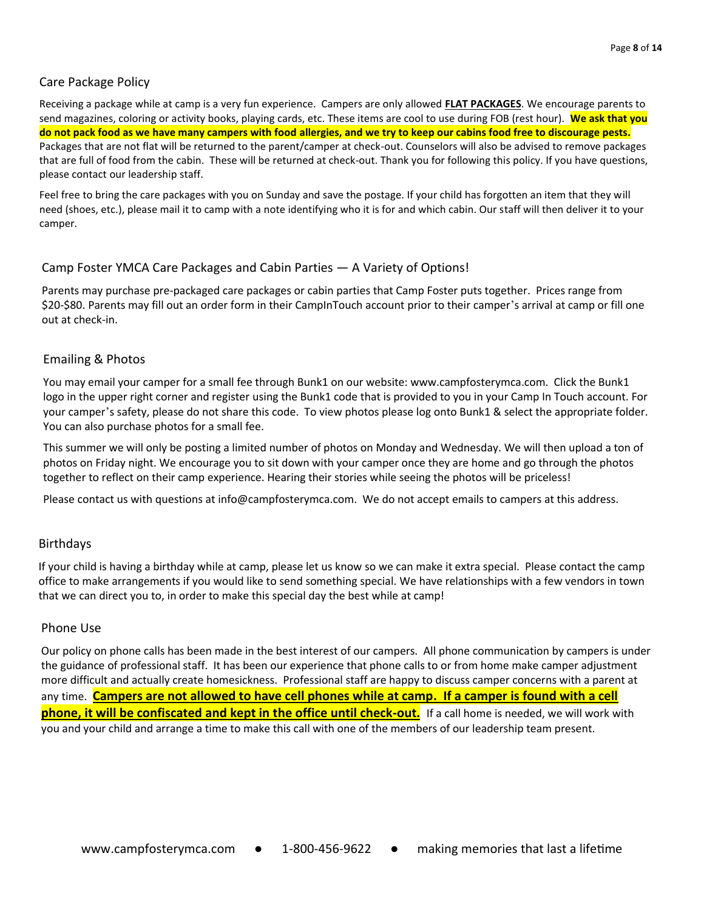#### Care Package Policy

Receiving a package while at camp is a very fun experience. Campers are only allowed **FLAT PACKAGES**. We encourage parents to send magazines, coloring or activity books, playing cards, etc. These items are cool to use during FOB (rest hour). **We ask that you do not pack food as we have many campers with food allergies, and we try to keep our cabins food free to discourage pests.** Packages that are not flat will be returned to the parent/camper at check-out. Counselors will also be advised to remove packages that are full of food from the cabin. These will be returned at check-out. Thank you for following this policy. If you have questions, please contact our leadership staff.

Feel free to bring the care packages with you on Sunday and save the postage. If your child has forgotten an item that they will need (shoes, etc.), please mail it to camp with a note identifying who it is for and which cabin. Our staff will then deliver it to your camper.

#### Camp Foster YMCA Care Packages and Cabin Parties — A Variety of Options!

Parents may purchase pre-packaged care packages or cabin parties that Camp Foster puts together. Prices range from \$20-\$80. Parents may fill out an order form in their CampInTouch account prior to their camper's arrival at camp or fill one out at check-in.

#### Emailing & Photos

You may email your camper for a small fee through Bunk1 on our website: www.campfosterymca.com. Click the Bunk1 logo in the upper right corner and register using the Bunk1 code that is provided to you in your Camp In Touch account. For your camper's safety, please do not share this code. To view photos please log onto Bunk1 & select the appropriate folder. You can also purchase photos for a small fee.

This summer we will only be posting a limited number of photos on Monday and Wednesday. We will then upload a ton of photos on Friday night. We encourage you to sit down with your camper once they are home and go through the photos together to reflect on their camp experience. Hearing their stories while seeing the photos will be priceless!

Please contact us with questions at info@campfosterymca.com. We do not accept emails to campers at this address.

#### Birthdays

If your child is having a birthday while at camp, please let us know so we can make it extra special. Please contact the camp office to make arrangements if you would like to send something special. We have relationships with a few vendors in town that we can direct you to, in order to make this special day the best while at camp!

#### Phone Use

Our policy on phone calls has been made in the best interest of our campers. All phone communication by campers is under the guidance of professional staff. It has been our experience that phone calls to or from home make camper adjustment more difficult and actually create homesickness. Professional staff are happy to discuss camper concerns with a parent at any time. **Campers are not allowed to have cell phones while at camp. If a camper is found with a cell phone, it will be confiscated and kept in the office until check-out.** If a call home is needed, we will work with you and your child and arrange a time to make this call with one of the members of our leadership team present.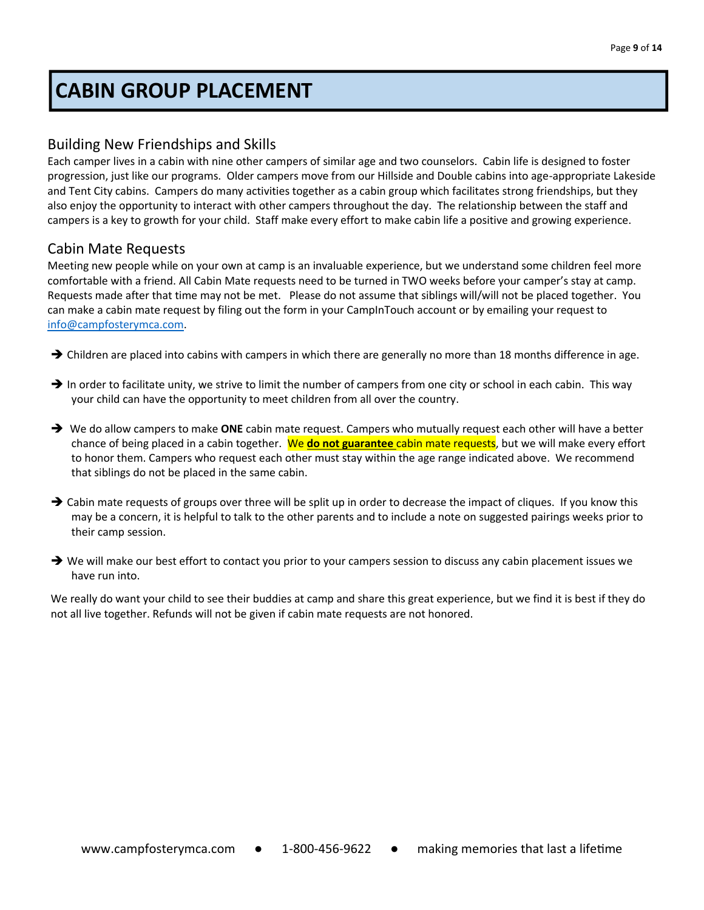# **CABIN GROUP PLACEMENT**

### Building New Friendships and Skills

Each camper lives in a cabin with nine other campers of similar age and two counselors. Cabin life is designed to foster progression, just like our programs. Older campers move from our Hillside and Double cabins into age-appropriate Lakeside and Tent City cabins. Campers do many activities together as a cabin group which facilitates strong friendships, but they also enjoy the opportunity to interact with other campers throughout the day. The relationship between the staff and campers is a key to growth for your child. Staff make every effort to make cabin life a positive and growing experience.

#### Cabin Mate Requests

Meeting new people while on your own at camp is an invaluable experience, but we understand some children feel more comfortable with a friend. All Cabin Mate requests need to be turned in TWO weeks before your camper's stay at camp. Requests made after that time may not be met. Please do not assume that siblings will/will not be placed together. You can make a cabin mate request by filing out the form in your CampInTouch account or by emailing your request to [info@campfosterymca.com.](mailto:info@campfosterymca.com)

- → Children are placed into cabins with campers in which there are generally no more than 18 months difference in age.
- $\rightarrow$  In order to facilitate unity, we strive to limit the number of campers from one city or school in each cabin. This way your child can have the opportunity to meet children from all over the country.
- ➔ We do allow campers to make **ONE** cabin mate request. Campers who mutually request each other will have a better chance of being placed in a cabin together. We **do not guarantee** cabin mate requests, but we will make every effort to honor them. Campers who request each other must stay within the age range indicated above. We recommend that siblings do not be placed in the same cabin.
- → Cabin mate requests of groups over three will be split up in order to decrease the impact of cliques. If you know this may be a concern, it is helpful to talk to the other parents and to include a note on suggested pairings weeks prior to their camp session.
- → We will make our best effort to contact you prior to your campers session to discuss any cabin placement issues we have run into.

We really do want your child to see their buddies at camp and share this great experience, but we find it is best if they do not all live together. Refunds will not be given if cabin mate requests are not honored.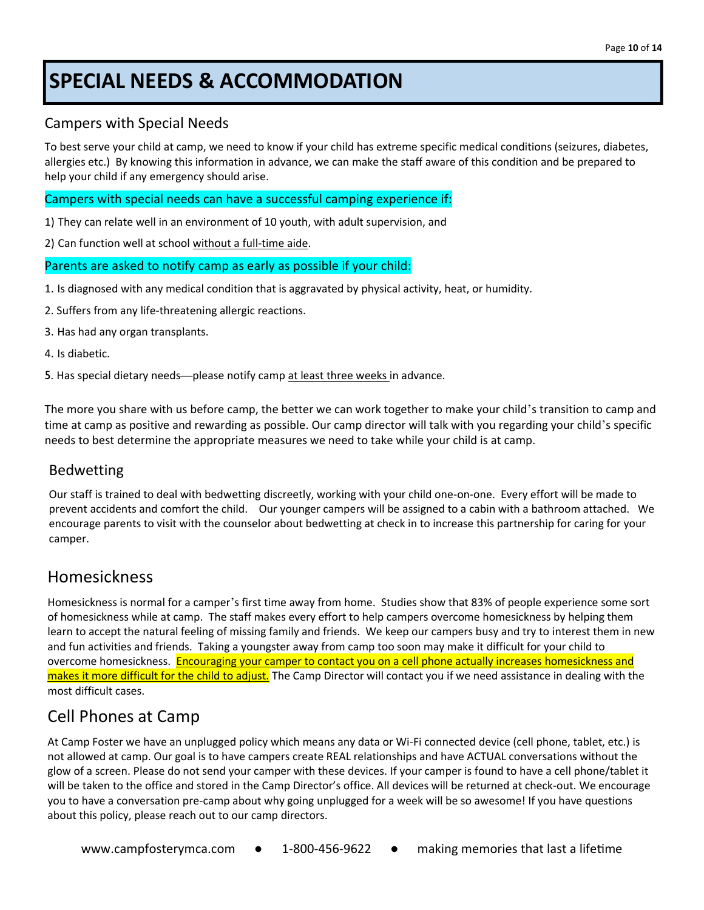# **SPECIAL NEEDS & ACCOMMODATION**

### Campers with Special Needs

To best serve your child at camp, we need to know if your child has extreme specific medical conditions (seizures, diabetes, allergies etc.) By knowing this information in advance, we can make the staff aware of this condition and be prepared to help your child if any emergency should arise.

#### Campers with special needs can have a successful camping experience if:

1) They can relate well in an environment of 10 youth, with adult supervision, and

2) Can function well at school without a full-time aide.

#### Parents are asked to notify camp as early as possible if your child:

- 1. Is diagnosed with any medical condition that is aggravated by physical activity, heat, or humidity.
- 2. Suffers from any life-threatening allergic reactions.
- 3. Has had any organ transplants.
- 4. Is diabetic.

5. Has special dietary needs—please notify camp at least three weeks in advance.

The more you share with us before camp, the better we can work together to make your child's transition to camp and time at camp as positive and rewarding as possible. Our camp director will talk with you regarding your child's specific needs to best determine the appropriate measures we need to take while your child is at camp.

### Bedwetting

Our staff is trained to deal with bedwetting discreetly, working with your child one-on-one. Every effort will be made to prevent accidents and comfort the child. Our younger campers will be assigned to a cabin with a bathroom attached. We encourage parents to visit with the counselor about bedwetting at check in to increase this partnership for caring for your camper.

### Homesickness

Homesickness is normal for a camper's first time away from home. Studies show that 83% of people experience some sort of homesickness while at camp. The staff makes every effort to help campers overcome homesickness by helping them learn to accept the natural feeling of missing family and friends. We keep our campers busy and try to interest them in new and fun activities and friends. Taking a youngster away from camp too soon may make it difficult for your child to overcome homesickness. Encouraging your camper to contact you on a cell phone actually increases homesickness and makes it more difficult for the child to adjust. The Camp Director will contact you if we need assistance in dealing with the most difficult cases.

### Cell Phones at Camp

At Camp Foster we have an unplugged policy which means any data or Wi-Fi connected device (cell phone, tablet, etc.) is not allowed at camp. Our goal is to have campers create REAL relationships and have ACTUAL conversations without the glow of a screen. Please do not send your camper with these devices. If your camper is found to have a cell phone/tablet it will be taken to the office and stored in the Camp Director's office. All devices will be returned at check-out. We encourage you to have a conversation pre-camp about why going unplugged for a week will be so awesome! If you have questions about this policy, please reach out to our camp directors.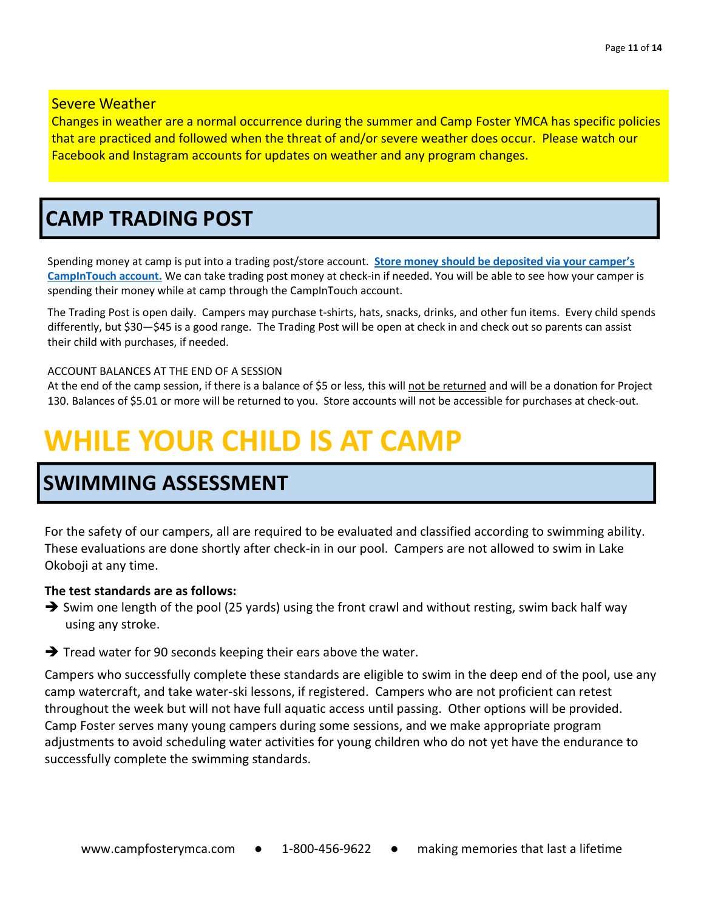#### Severe Weather

Changes in weather are a normal occurrence during the summer and Camp Foster YMCA has specific policies that are practiced and followed when the threat of and/or severe weather does occur. Please watch our Facebook and Instagram accounts for updates on weather and any program changes.

## **CAMP TRADING POST**

Spending money at camp is put into a trading post/store account. **[Store money should be deposited via your camper's](https://campfosterymca.campintouch.com/v2/login.aspx)  [CampInTouch account.](https://campfosterymca.campintouch.com/v2/login.aspx)** We can take trading post money at check-in if needed. You will be able to see how your camper is spending their money while at camp through the CampInTouch account.

The Trading Post is open daily. Campers may purchase t-shirts, hats, snacks, drinks, and other fun items. Every child spends differently, but \$30—\$45 is a good range. The Trading Post will be open at check in and check out so parents can assist their child with purchases, if needed.

#### ACCOUNT BALANCES AT THE END OF A SESSION

At the end of the camp session, if there is a balance of \$5 or less, this will not be returned and will be a donation for Project 130. Balances of \$5.01 or more will be returned to you. Store accounts will not be accessible for purchases at check-out.

# **WHILE YOUR CHILD IS AT CAMP**

### **SWIMMING ASSESSMENT**

For the safety of our campers, all are required to be evaluated and classified according to swimming ability. These evaluations are done shortly after check-in in our pool. Campers are not allowed to swim in Lake Okoboji at any time.

#### **The test standards are as follows:**

- $\rightarrow$  Swim one length of the pool (25 yards) using the front crawl and without resting, swim back half way using any stroke.
- ➔ Tread water for 90 seconds keeping their ears above the water.

Campers who successfully complete these standards are eligible to swim in the deep end of the pool, use any camp watercraft, and take water-ski lessons, if registered. Campers who are not proficient can retest throughout the week but will not have full aquatic access until passing. Other options will be provided. Camp Foster serves many young campers during some sessions, and we make appropriate program adjustments to avoid scheduling water activities for young children who do not yet have the endurance to successfully complete the swimming standards.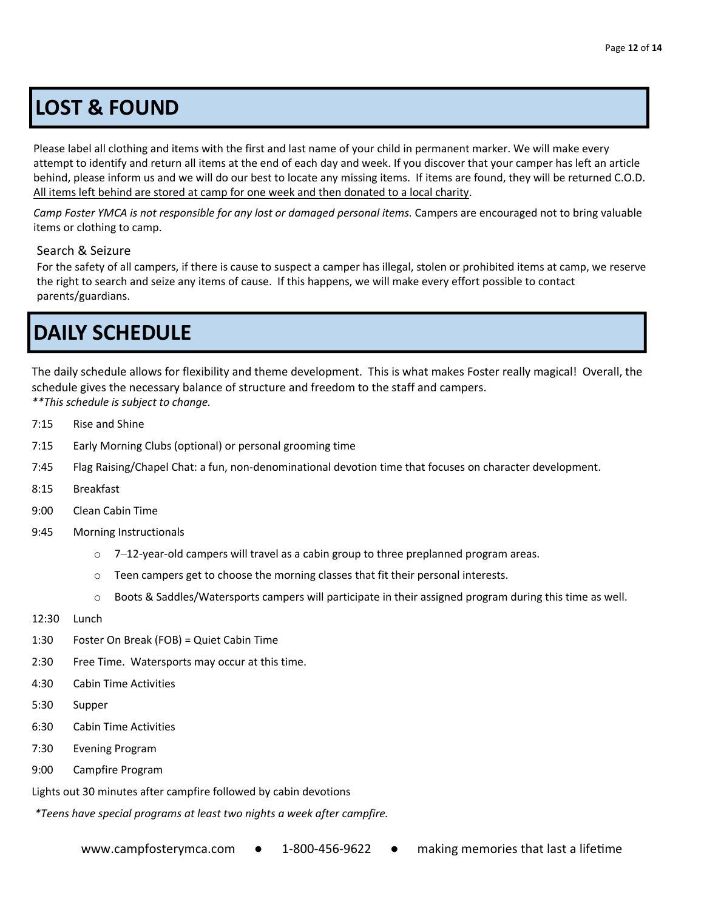# **LOST & FOUND**

Please label all clothing and items with the first and last name of your child in permanent marker. We will make every attempt to identify and return all items at the end of each day and week. If you discover that your camper has left an article behind, please inform us and we will do our best to locate any missing items. If items are found, they will be returned C.O.D. All items left behind are stored at camp for one week and then donated to a local charity.

*Camp Foster YMCA is not responsible for any lost or damaged personal items.* Campers are encouraged not to bring valuable items or clothing to camp.

#### Search & Seizure

For the safety of all campers, if there is cause to suspect a camper has illegal, stolen or prohibited items at camp, we reserve the right to search and seize any items of cause. If this happens, we will make every effort possible to contact parents/guardians.

# **DAILY SCHEDULE**

The daily schedule allows for flexibility and theme development. This is what makes Foster really magical! Overall, the schedule gives the necessary balance of structure and freedom to the staff and campers. *\*\*This schedule is subject to change.*

- 7:15 Rise and Shine
- 7:15 Early Morning Clubs (optional) or personal grooming time
- 7:45 Flag Raising/Chapel Chat: a fun, non-denominational devotion time that focuses on character development.
- 8:15 Breakfast
- 9:00 Clean Cabin Time
- 9:45 Morning Instructionals
	- $\circ$  7-12-year-old campers will travel as a cabin group to three preplanned program areas.
	- $\circ$  Teen campers get to choose the morning classes that fit their personal interests.
	- $\circ$  Boots & Saddles/Watersports campers will participate in their assigned program during this time as well.
- 12:30 Lunch
- 1:30 Foster On Break (FOB) = Quiet Cabin Time
- 2:30 Free Time. Watersports may occur at this time.
- 4:30 Cabin Time Activities
- 5:30 Supper
- 6:30 Cabin Time Activities
- 7:30 Evening Program
- 9:00 Campfire Program

Lights out 30 minutes after campfire followed by cabin devotions

*\*Teens have special programs at least two nights a week after campfire.*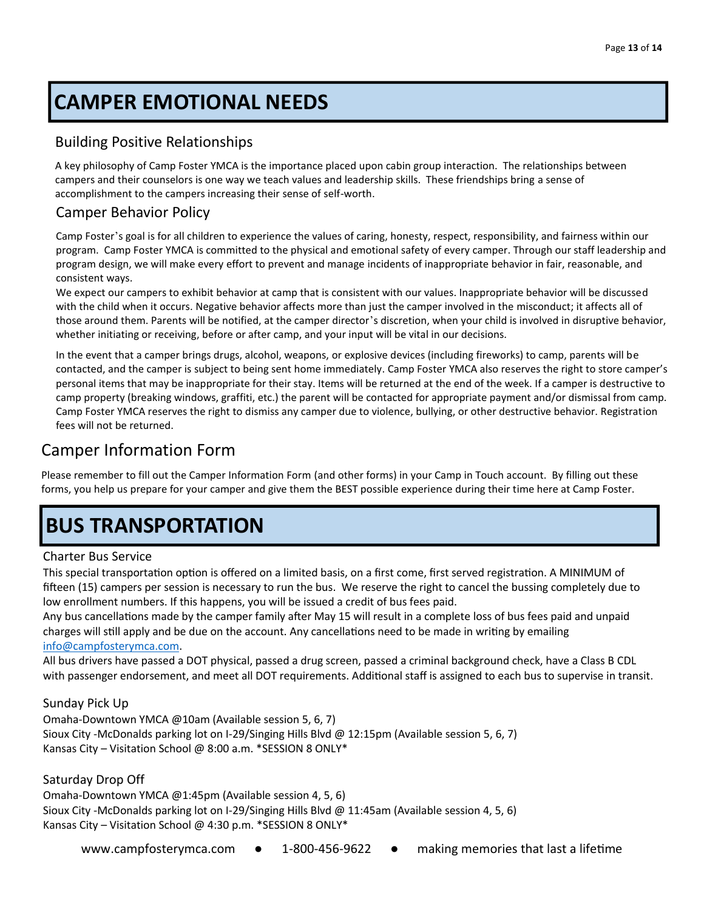# **CAMPER EMOTIONAL NEEDS**

### Building Positive Relationships

A key philosophy of Camp Foster YMCA is the importance placed upon cabin group interaction. The relationships between campers and their counselors is one way we teach values and leadership skills. These friendships bring a sense of accomplishment to the campers increasing their sense of self-worth.

### Camper Behavior Policy

Camp Foster's goal is for all children to experience the values of caring, honesty, respect, responsibility, and fairness within our program. Camp Foster YMCA is committed to the physical and emotional safety of every camper. Through our staff leadership and program design, we will make every effort to prevent and manage incidents of inappropriate behavior in fair, reasonable, and consistent ways.

We expect our campers to exhibit behavior at camp that is consistent with our values. Inappropriate behavior will be discussed with the child when it occurs. Negative behavior affects more than just the camper involved in the misconduct; it affects all of those around them. Parents will be notified, at the camper director's discretion, when your child is involved in disruptive behavior, whether initiating or receiving, before or after camp, and your input will be vital in our decisions.

In the event that a camper brings drugs, alcohol, weapons, or explosive devices (including fireworks) to camp, parents will be contacted, and the camper is subject to being sent home immediately. Camp Foster YMCA also reserves the right to store camper's personal items that may be inappropriate for their stay. Items will be returned at the end of the week. If a camper is destructive to camp property (breaking windows, graffiti, etc.) the parent will be contacted for appropriate payment and/or dismissal from camp. Camp Foster YMCA reserves the right to dismiss any camper due to violence, bullying, or other destructive behavior. Registration fees will not be returned.

### Camper Information Form

Please remember to fill out the Camper Information Form (and other forms) in your Camp in Touch account. By filling out these forms, you help us prepare for your camper and give them the BEST possible experience during their time here at Camp Foster.

# **BUS TRANSPORTATION**

#### Charter Bus Service

This special transportation option is offered on a limited basis, on a first come, first served registration. A MINIMUM of fifteen (15) campers per session is necessary to run the bus. We reserve the right to cancel the bussing completely due to low enrollment numbers. If this happens, you will be issued a credit of bus fees paid.

Any bus cancellations made by the camper family after May 15 will result in a complete loss of bus fees paid and unpaid charges will still apply and be due on the account. Any cancellations need to be made in writing by emailing [info@campfosterymca.com.](mailto:info@campfosterymca.com)

All bus drivers have passed a DOT physical, passed a drug screen, passed a criminal background check, have a Class B CDL with passenger endorsement, and meet all DOT requirements. Additional staff is assigned to each bus to supervise in transit.

#### Sunday Pick Up

Omaha-Downtown YMCA @10am (Available session 5, 6, 7) Sioux City -McDonalds parking lot on I-29/Singing Hills Blvd @ 12:15pm (Available session 5, 6, 7) Kansas City – Visitation School @ 8:00 a.m. \*SESSION 8 ONLY\*

#### Saturday Drop Off

Omaha-Downtown YMCA @1:45pm (Available session 4, 5, 6) Sioux City -McDonalds parking lot on I-29/Singing Hills Blvd @ 11:45am (Available session 4, 5, 6) Kansas City – Visitation School @ 4:30 p.m. \*SESSION 8 ONLY\*